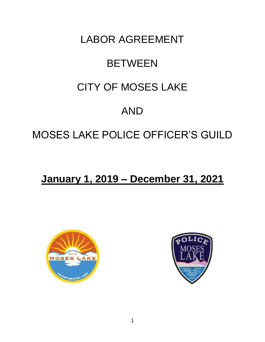## LABOR AGREEMENT

# **BETWEEN**

## CITY OF MOSES LAKE

## AND

## MOSES LAKE POLICE OFFICER'S GUILD

## **January 1, 2019 – December 31, 2021**



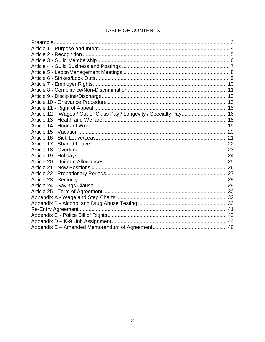## TABLE OF CONTENTS

| Article 12 - Wages / Out-of-Class Pay / Longevity / Specialty Pay 16 |  |
|----------------------------------------------------------------------|--|
|                                                                      |  |
|                                                                      |  |
|                                                                      |  |
|                                                                      |  |
|                                                                      |  |
|                                                                      |  |
|                                                                      |  |
|                                                                      |  |
|                                                                      |  |
|                                                                      |  |
|                                                                      |  |
|                                                                      |  |
|                                                                      |  |
|                                                                      |  |
|                                                                      |  |
|                                                                      |  |
|                                                                      |  |
|                                                                      |  |
|                                                                      |  |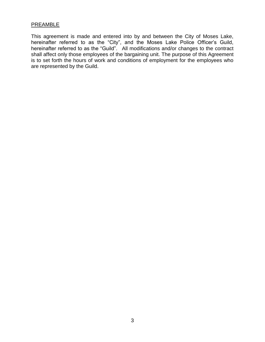#### **PREAMBLE**

This agreement is made and entered into by and between the City of Moses Lake, hereinafter referred to as the "City", and the Moses Lake Police Officer's Guild, hereinafter referred to as the "Guild". All modifications and/or changes to the contract shall affect only those employees of the bargaining unit. The purpose of this Agreement is to set forth the hours of work and conditions of employment for the employees who are represented by the Guild.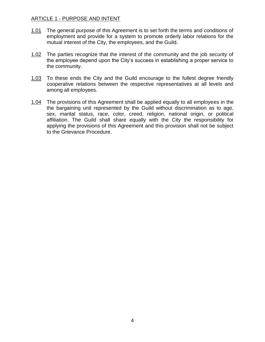#### ARTICLE 1 - PURPOSE AND INTENT

- 1.01 The general purpose of this Agreement is to set forth the terms and conditions of employment and provide for a system to promote orderly labor relations for the mutual interest of the City, the employees, and the Guild.
- 1.02 The parties recognize that the interest of the community and the job security of the employee depend upon the City's success in establishing a proper service to the community.
- 1.03 To these ends the City and the Guild encourage to the fullest degree friendly cooperative relations between the respective representatives at all levels and among all employees.
- 1.04 The provisions of this Agreement shall be applied equally to all employees in the the bargaining unit represented by the Guild without discrimination as to age, sex, marital status, race, color, creed, religion, national origin, or political affiliation. The Guild shall share equally with the City the responsibility for applying the provisions of this Agreement and this provision shall not be subject to the Grievance Procedure.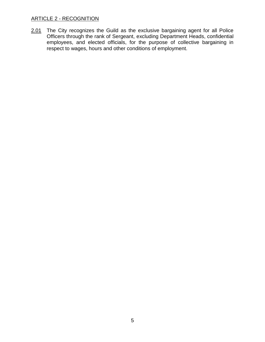#### ARTICLE 2 - RECOGNITION

2.01 The City recognizes the Guild as the exclusive bargaining agent for all Police Officers through the rank of Sergeant, excluding Department Heads, confidential employees, and elected officials, for the purpose of collective bargaining in respect to wages, hours and other conditions of employment.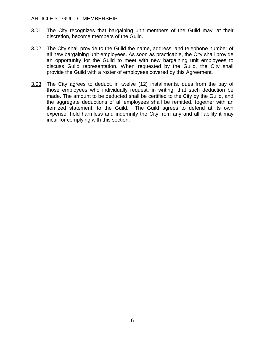#### ARTICLE 3 - GUILD MEMBERSHIP

- 3.01 The City recognizes that bargaining unit members of the Guild may, at their discretion, become members of the Guild.
- 3.02 The City shall provide to the Guild the name, address, and telephone number of all new bargaining unit employees. As soon as practicable, the City shall provide an opportunity for the Guild to meet with new bargaining unit employees to discuss Guild representation. When requested by the Guild, the City shall provide the Guild with a roster of employees covered by this Agreement.
- 3.03 The City agrees to deduct, in twelve (12) installments, dues from the pay of those employees who individually request, in writing, that such deduction be made. The amount to be deducted shall be certified to the City by the Guild, and the aggregate deductions of all employees shall be remitted, together with an itemized statement, to the Guild. The Guild agrees to defend at its own expense, hold harmless and indemnify the City from any and all liability it may incur for complying with this section.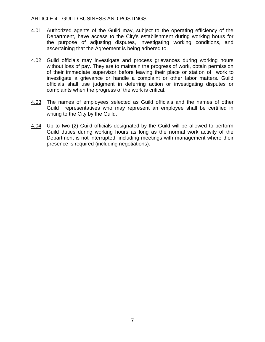#### ARTICLE 4 - GUILD BUSINESS AND POSTINGS

- 4.01 Authorized agents of the Guild may, subject to the operating efficiency of the Department, have access to the City's establishment during working hours for the purpose of adjusting disputes, investigating working conditions, and ascertaining that the Agreement is being adhered to.
- 4.02 Guild officials may investigate and process grievances during working hours without loss of pay. They are to maintain the progress of work, obtain permission of their immediate supervisor before leaving their place or station of work to investigate a grievance or handle a complaint or other labor matters. Guild officials shall use judgment in deferring action or investigating disputes or complaints when the progress of the work is critical.
- 4.03 The names of employees selected as Guild officials and the names of other Guild representatives who may represent an employee shall be certified in writing to the City by the Guild.
- 4.04 Up to two (2) Guild officials designated by the Guild will be allowed to perform Guild duties during working hours as long as the normal work activity of the Department is not interrupted, including meetings with management where their presence is required (including negotiations).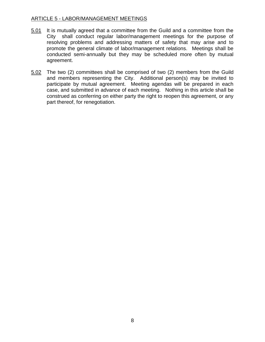#### ARTICLE 5 - LABOR/MANAGEMENT MEETINGS

- 5.01 It is mutually agreed that a committee from the Guild and a committee from the City shall conduct regular labor/management meetings for the purpose of resolving problems and addressing matters of safety that may arise and to promote the general climate of labor/management relations. Meetings shall be conducted semi-annually but they may be scheduled more often by mutual agreement.
- 5.02 The two (2) committees shall be comprised of two (2) members from the Guild and members representing the City. Additional person(s) may be invited to participate by mutual agreement. Meeting agendas will be prepared in each case, and submitted in advance of each meeting. Nothing in this article shall be construed as conferring on either party the right to reopen this agreement, or any part thereof, for renegotiation.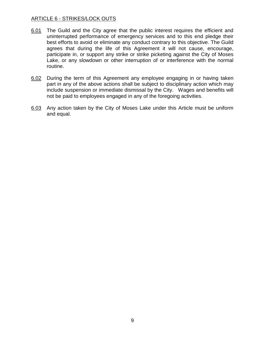### ARTICLE 6 - STRIKES/LOCK OUTS

- 6.01 The Guild and the City agree that the public interest requires the efficient and uninterrupted performance of emergency services and to this end pledge their best efforts to avoid or eliminate any conduct contrary to this objective. The Guild agrees that during the life of this Agreement it will not cause, encourage, participate in, or support any strike or strike picketing against the City of Moses Lake, or any slowdown or other interruption of or interference with the normal routine.
- 6.02 During the term of this Agreement any employee engaging in or having taken part in any of the above actions shall be subject to disciplinary action which may include suspension or immediate dismissal by the City. Wages and benefits will not be paid to employees engaged in any of the foregoing activities.
- 6.03 Any action taken by the City of Moses Lake under this Article must be uniform and equal.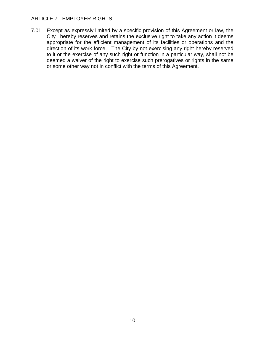### ARTICLE 7 - EMPLOYER RIGHTS

7.01 Except as expressly limited by a specific provision of this Agreement or law, the City hereby reserves and retains the exclusive right to take any action it deems appropriate for the efficient management of its facilities or operations and the direction of its work force. The City by not exercising any right hereby reserved to it or the exercise of any such right or function in a particular way, shall not be deemed a waiver of the right to exercise such prerogatives or rights in the same or some other way not in conflict with the terms of this Agreement.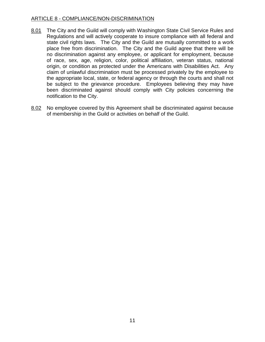#### ARTICLE 8 - COMPLIANCE/NON-DISCRIMINATION

- 8.01 The City and the Guild will comply with Washington State Civil Service Rules and Regulations and will actively cooperate to insure compliance with all federal and state civil rights laws. The City and the Guild are mutually committed to a work place free from discrimination. The City and the Guild agree that there will be no discrimination against any employee, or applicant for employment, because of race, sex, age, religion, color, political affiliation, veteran status, national origin, or condition as protected under the Americans with Disabilities Act. Any claim of unlawful discrimination must be processed privately by the employee to the appropriate local, state, or federal agency or through the courts and shall not be subject to the grievance procedure. Employees believing they may have been discriminated against should comply with City policies concerning the notification to the City.
- 8.02 No employee covered by this Agreement shall be discriminated against because of membership in the Guild or activities on behalf of the Guild.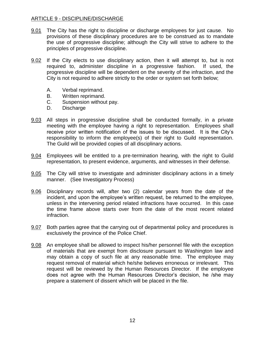## ARTICLE 9 - DISCIPLINE/DISCHARGE

- 9.01 The City has the right to discipline or discharge employees for just cause. No provisions of these disciplinary procedures are to be construed as to mandate the use of progressive discipline; although the City will strive to adhere to the principles of progressive discipline.
- 9.02 If the City elects to use disciplinary action, then it will attempt to, but is not required to, administer discipline in a progressive fashion. If used, the progressive discipline will be dependent on the severity of the infraction, and the City is not required to adhere strictly to the order or system set forth below;
	- A. Verbal reprimand.
	- B. Written reprimand.
	- C. Suspension without pay.
	- D. Discharge
- 9.03 All steps in progressive discipline shall be conducted formally, in a private meeting with the employee having a right to representation. Employees shall receive prior written notification of the issues to be discussed. It is the City's responsibility to inform the employee(s) of their right to Guild representation. The Guild will be provided copies of all disciplinary actions.
- 9.04 Employees will be entitled to a pre-termination hearing, with the right to Guild representation, to present evidence, arguments, and witnesses in their defense.
- 9.05 The City will strive to investigate and administer disciplinary actions in a timely manner. (See Investigatory Process)
- 9.06 Disciplinary records will, after two (2) calendar years from the date of the incident, and upon the employee's written request, be returned to the employee, unless in the intervening period related infractions have occurred. In this case the time frame above starts over from the date of the most recent related infraction.
- 9.07 Both parties agree that the carrying out of departmental policy and procedures is exclusively the province of the Police Chief.
- 9.08 An employee shall be allowed to inspect his/her personnel file with the exception of materials that are exempt from disclosure pursuant to Washington law and may obtain a copy of such file at any reasonable time. The employee may request removal of material which he/she believes erroneous or irrelevant. This request will be reviewed by the Human Resources Director. If the employee does not agree with the Human Resources Director's decision, he /she may prepare a statement of dissent which will be placed in the file.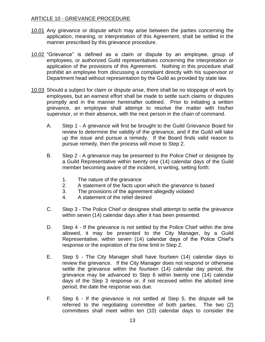## ARTICLE 10 - GRIEVANCE PROCEDURE

- 10.01 Any grievance or dispute which may arise between the parties concerning the application, meaning, or interpretation of this Agreement, shall be settled in the manner prescribed by this grievance procedure.
- 10.02 "Grievance" is defined as a claim or dispute by an employee, group of employees, or authorized Guild representatives concerning the interpretation or application of the provisions of this Agreement. Nothing in this procedure shall prohibit an employee from discussing a complaint directly with his supervisor or Department head without representation by the Guild as provided by state law.
- 10.03 Should a subject for claim or dispute arise, there shall be no stoppage of work by employees, but an earnest effort shall be made to settle such claims or disputes promptly and in the manner hereinafter outlined. Prior to initiating a written grievance, an employee shall attempt to resolve the matter with his/her supervisor, or in their absence, with the next person in the chain of command.
	- A. Step 1 A grievance will first be brought to the Guild Grievance Board for review to determine the validity of the grievance, and if the Guild will take up the issue and pursue a remedy. If the Board finds valid reason to pursue remedy, then the process will move to Step 2.
	- B. Step 2 A grievance may be presented to the Police Chief or designee by a Guild Representative within twenty one (14) calendar days of the Guild member becoming aware of the incident, in writing, setting forth:
		- 1. The nature of the grievance
		- 2. A statement of the facts upon which the grievance Is based
		- 3. The provisions of the agreement allegedly violated
		- 4. A statement of the relief desired
	- C. Step 3 The Police Chief or designee shall attempt to settle the grievance within seven (14) calendar days after it has been presented.
	- D. Step 4 If the grievance is not settled by the Police Chief within the time allowed, it may be presented to the City Manager, by a Guild Representative, within seven (14) calendar days of the Police Chief's response or the expiration of the time limit in Step 2.
	- E. Step 5 The City Manager shall have fourteen (14) calendar days to review the grievance. If the City Manager does not respond or otherwise settle the grievance within the fourteen (14) calendar day period, the grievance may be advanced to Step 6 within twenty one (14) calendar days of the Step 3 response or, if not received within the allotted time period, the date the response was due.
	- F. Step 6 If the grievance is not settled at Step 5, the dispute will be referred to the negotiating committee of both parties. The two (2) committees shall meet within ten (10) calendar days to consider the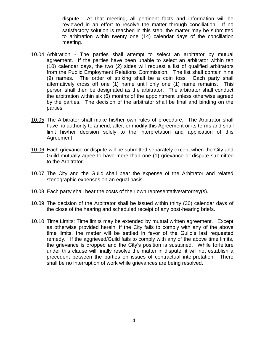dispute. At that meeting, all pertinent facts and information will be reviewed in an effort to resolve the matter through conciliation. If no satisfactory solution is reached in this step, the matter may be submitted to arbitration within twenty one (14) calendar days of the conciliation meeting.

- 10.04 Arbitration The parties shall attempt to select an arbitrator by mutual agreement. If the parties have been unable to select an arbitrator within ten (10) calendar days, the two (2) sides will request a list of qualified arbitrators from the Public Employment Relations Commission. The list shall contain nine (9) names. The order of striking shall be a coin toss. Each party shall alternatively cross off one (1) name until only one (1) name remains. This person shall then be designated as the arbitrator. The arbitrator shall conduct the arbitration within six (6) months of the appointment unless otherwise agreed by the parties. The decision of the arbitrator shall be final and binding on the parties.
- 10.05 The Arbitrator shall make his/her own rules of procedure. The Arbitrator shall have no authority to amend, alter, or modify this Agreement or its terms and shall limit his/her decision solely to the interpretation and application of this Agreement.
- 10.06 Each grievance or dispute will be submitted separately except when the City and Guild mutually agree to have more than one (1) grievance or dispute submitted to the Arbitrator.
- 10.07 The City and the Guild shall bear the expense of the Arbitrator and related stenographic expenses on an equal basis.
- 10.08 Each party shall bear the costs of their own representative/attorney(s).
- 10.09 The decision of the Arbitrator shall be issued within thirty (30) calendar days of the close of the hearing and scheduled receipt of any post-hearing briefs.
- 10.10 Time Limits: Time limits may be extended by mutual written agreement. Except as otherwise provided herein, if the City fails to comply with any of the above time limits, the matter will be settled in favor of the Guild's last requested remedy. If the aggrieved/Guild fails to comply with any of the above time limits, the grievance is dropped and the City's position is sustained. While forfeiture under this clause will finally resolve the matter in dispute, it will not establish a precedent between the parties on issues of contractual interpretation. There shall be no interruption of work while grievances are being resolved.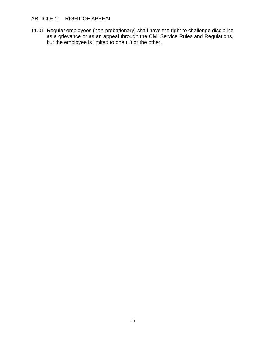## ARTICLE 11 - RIGHT OF APPEAL

11.01 Regular employees (non-probationary) shall have the right to challenge discipline as a grievance or as an appeal through the Civil Service Rules and Regulations, but the employee is limited to one (1) or the other.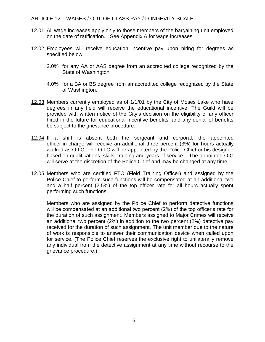#### ARTICLE 12 – WAGES / OUT-OF-CLASS PAY / LONGEVITY SCALE

- 12.01 All wage increases apply only to those members of the bargaining unit employed on the date of ratification. See Appendix A for wage increases.
- 12.02 Employees will receive education incentive pay upon hiring for degrees as specified below:
	- 2.0% for any AA or AAS degree from an accredited college recognized by the State of Washington
	- 4.0% for a BA or BS degree from an accredited college recognized by the State of Washington.
- 12.03 Members currently employed as of 1/1/01 by the City of Moses Lake who have degrees in any field will receive the educational incentive. The Guild will be provided with written notice of the City's decision on the eligibility of any officer hired in the future for educational incentive benefits, and any denial of benefits be subject to the grievance procedure.
- 12.04 If a shift is absent both the sergeant and corporal, the appointed officer-in-charge will receive an additional three percent (3%) for hours actually worked as O.I.C. The O.I.C will be appointed by the Police Chief or his designee based on qualifications, skills, training and years of service. The appointed OIC will serve at the discretion of the Police Chief and may be changed at any time.
- 12.05 Members who are certified FTO (Field Training Officer) and assigned by the Police Chief to perform such functions will be compensated at an additional two and a half percent (2.5%) of the top officer rate for all hours actually spent performing such functions.

Members who are assigned by the Police Chief to perform detective functions will be compensated at an additional two percent (2%) of the top officer's rate for the duration of such assignment. Members assigned to Major Crimes will receive an additional two percent (2%) in addition to the two percent (2%) detective pay received for the duration of such assignment. The unit member due to the nature of work is responsible to answer their communication device when called upon for service. (The Police Chief reserves the exclusive right to unilaterally remove any individual from the detective assignment at any time without recourse to the grievance procedure.)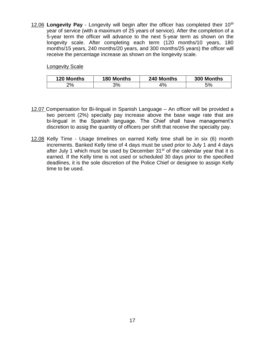12.06 **Longevity Pay** - Longevity will begin after the officer has completed their 10<sup>th</sup> year of service (with a maximum of 25 years of service). After the completion of a 5-year term the officer will advance to the next 5-year term as shown on the longevity scale. After completing each term (120 months/10 years, 180 months/15 years, 240 months/20 years, and 300 months/25 years) the officer will receive the percentage increase as shown on the longevity scale.

Longevity Scale

| <b>120 Months</b> | <b>180 Months</b> | 240 Months | 300 Months |
|-------------------|-------------------|------------|------------|
| 9%                | 3%                | $\%$       | 5%         |

- 12.07 Compensation for Bi-lingual in Spanish Language An officer will be provided a two percent (2%) specialty pay increase above the base wage rate that are bi-lingual in the Spanish language. The Chief shall have management's discretion to assig the quantity of officers per shift that receive the specialty pay.
- 12.08 Kelly Time Usage timelines on earned Kelly time shall be in six (6) month increments. Banked Kelly time of 4 days must be used prior to July 1 and 4 days after July 1 which must be used by December  $31<sup>st</sup>$  of the calendar year that it is earned. If the Kelly time is not used or scheduled 30 days prior to the specified deadlines, it is the sole discretion of the Police Chief or designee to assign Kelly time to be used.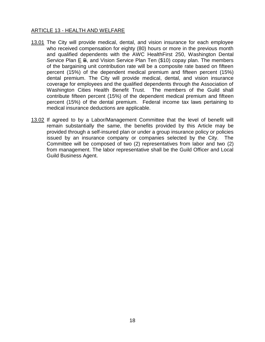## ARTICLE 13 - HEALTH AND WELFARE

- 13.01 The City will provide medical, dental, and vision insurance for each employee who received compensation for eighty (80) hours or more in the previous month and qualified dependents with the AWC HealthFirst 250, Washington Dental Service Plan E B, and Vision Service Plan Ten (\$10) copay plan. The members of the bargaining unit contribution rate will be a composite rate based on fifteen percent (15%) of the dependent medical premium and fifteen percent (15%) dental premium. The City will provide medical, dental, and vision insurance coverage for employees and the qualified dependents through the Association of Washington Cities Health Benefit Trust. The members of the Guild shall contribute fifteen percent (15%) of the dependent medical premium and fifteen percent (15%) of the dental premium. Federal income tax laws pertaining to medical insurance deductions are applicable.
- 13.02 If agreed to by a Labor/Management Committee that the level of benefit will remain substantially the same, the benefits provided by this Article may be provided through a self-insured plan or under a group insurance policy or policies issued by an insurance company or companies selected by the City. The Committee will be composed of two (2) representatives from labor and two (2) from management. The labor representative shall be the Guild Officer and Local Guild Business Agent.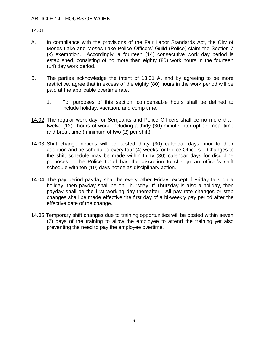## 14.01

- A. In compliance with the provisions of the Fair Labor Standards Act, the City of Moses Lake and Moses Lake Police Officers' Guild (Police) claim the Section 7 (k) exemption. Accordingly, a fourteen (14) consecutive work day period is established, consisting of no more than eighty (80) work hours in the fourteen (14) day work period.
- B. The parties acknowledge the intent of 13.01 A. and by agreeing to be more restrictive, agree that in excess of the eighty (80) hours in the work period will be paid at the applicable overtime rate.
	- 1. For purposes of this section, compensable hours shall be defined to include holiday, vacation, and comp time.
- 14.02 The regular work day for Sergeants and Police Officers shall be no more than twelve (12) hours of work, including a thirty (30) minute interruptible meal time and break time (minimum of two (2) per shift).
- 14.03 Shift change notices will be posted thirty (30) calendar days prior to their adoption and be scheduled every four (4) weeks for Police Officers. Changes to the shift schedule may be made within thirty (30) calendar days for discipline purposes. The Police Chief has the discretion to change an officer's shift schedule with ten (10) days notice as disciplinary action.
- 14.04 The pay period payday shall be every other Friday, except if Friday falls on a holiday, then payday shall be on Thursday. If Thursday is also a holiday, then payday shall be the first working day thereafter. All pay rate changes or step changes shall be made effective the first day of a bi-weekly pay period after the effective date of the change.
- 14.05 Temporary shift changes due to training opportunities will be posted within seven (7) days of the training to allow the employee to attend the training yet also preventing the need to pay the employee overtime.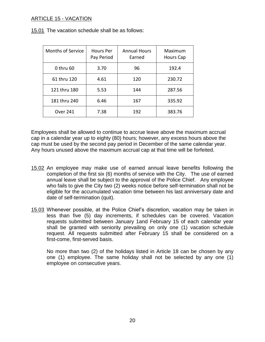## ARTICLE 15 - VACATION

15.01 The vacation schedule shall be as follows:

| Months of Service | Hours Per<br>Pay Period | <b>Annual Hours</b><br>Earned | Maximum<br><b>Hours Cap</b> |
|-------------------|-------------------------|-------------------------------|-----------------------------|
| 0 thru 60         | 3.70                    | 96                            | 192.4                       |
| 61 thru 120       | 4.61                    | 120                           | 230.72                      |
| 121 thru 180      | 5.53                    | 144                           | 287.56                      |
| 181 thru 240      | 6.46                    | 167                           | 335.92                      |
| <b>Over 241</b>   | 7.38                    | 192                           | 383.76                      |

Employees shall be allowed to continue to accrue leave above the maximum accrual cap in a calendar year up to eighty (80) hours; however, any excess hours above the cap must be used by the second pay period in December of the same calendar year. Any hours unused above the maximum accrual cap at that time will be forfeited.

- 15.02 An employee may make use of earned annual leave benefits following the completion of the first six (6) months of service with the City. The use of earned annual leave shall be subject to the approval of the Police Chief. Any employee who fails to give the City two (2) weeks notice before self-termination shall not be eligible for the accumulated vacation time between his last anniversary date and date of self-termination (quit).
- 15.03 Whenever possible, at the Police Chief's discretion, vacation may be taken in less than five (5) day increments, if schedules can be covered. Vacation requests submitted between January 1and February 15 of each calendar year shall be granted with seniority prevailing on only one (1) vacation schedule request. All requests submitted after February 15 shall be considered on a first-come, first-served basis.

No more than two (2) of the holidays listed in Article 18 can be chosen by any one (1) employee. The same holiday shall not be selected by any one (1) employee on consecutive years.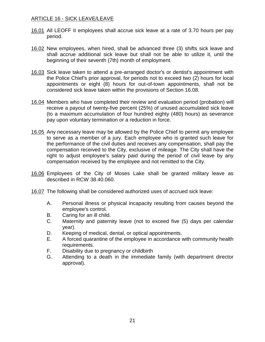## ARTICLE 16 - SICK LEAVE/LEAVE

- 16.01 All LEOFF II employees shall accrue sick leave at a rate of 3.70 hours per pay period.
- 16.02 New employees, when hired, shall be advanced three (3) shifts sick leave and shall accrue additional sick leave but shall not be able to utilize it, until the beginning of their seventh (7th) month of employment.
- 16.03 Sick leave taken to attend a pre-arranged doctor's or dentist's appointment with the Police Chief's prior approval, for periods not to exceed two (2) hours for local appointments or eight (8) hours for out-of-town appointments, shall not be considered sick leave taken within the provisions of Section 16.08.
- 16.04 Members who have completed their review and evaluation period (probation) will receive a payout of twenty-five percent (25%) of unused accumulated sick leave (to a maximum accumulation of four hundred eighty (480) hours) as severance pay upon voluntary termination or a reduction in force.
- 16.05 Any necessary leave may be allowed by the Police Chief to permit any employee to serve as a member of a jury. Each employee who is granted such leave for the performance of the civil duties and receives any compensation, shall pay the compensation received to the City, exclusive of mileage. The City shall have the right to adjust employee's salary paid during the period of civil leave by any compensation received by the employee and not remitted to the City.
- 16.06 Employees of the City of Moses Lake shall be granted military leave as described in RCW 38.40.060.
- 16.07 The following shall be considered authorized uses of accrued sick leave:
	- A. Personal illness or physical incapacity resulting from causes beyond the employee's control.
	- B. Caring for an ill child.
	- C. Maternity and paternity leave (not to exceed five (5) days per calendar year).
	- D. Keeping of medical, dental, or optical appointments.
	- E. A forced quarantine of the employee in accordance with community health requirements.
	- F. Disability due to pregnancy or childbirth
	- G. Attending to a death in the immediate family (with department director approval).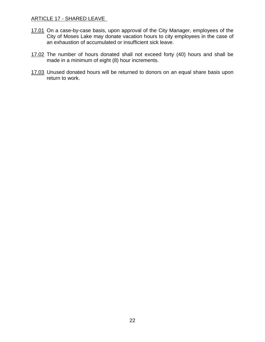#### ARTICLE 17 - SHARED LEAVE

- 17.01 On a case-by-case basis, upon approval of the City Manager, employees of the City of Moses Lake may donate vacation hours to city employees in the case of an exhaustion of accumulated or insufficient sick leave.
- 17.02 The number of hours donated shall not exceed forty (40) hours and shall be made in a minimum of eight (8) hour increments.
- 17.03 Unused donated hours will be returned to donors on an equal share basis upon return to work.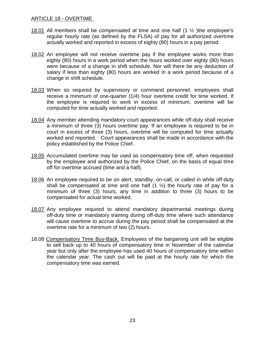#### ARTICLE 18 - OVERTIME

- 18.01 All members shall be compensated at time and one half  $(1 \frac{1}{2})$ the employee's regular hourly rate (as defined by the FLSA) of pay for all authorized overtime actually worked and reported in excess of eighty (80) hours in a pay period.
- 18.02 An employee will not receive overtime pay if the employee works more than eighty (80) hours in a work period when the hours worked over eighty (80) hours were because of a change in shift schedule. Nor will there be any deduction of salary if less than eighty (80) hours are worked in a work period because of a change in shift schedule.
- 18.03 When so required by supervisory or command personnel, employees shall receive a minimum of one-quarter (1/4) hour overtime credit for time worked. If the employee is required to work in excess of minimum, overtime will be computed for time actually worked and reported.
- 18.04 Any member attending mandatory court appearances while off-duty shall receive a minimum of three (3) hours overtime pay. If an employee is required to be in court in excess of three (3) hours, overtime will be computed for time actually worked and reported. Court appearances shall be made in accordance with the policy established by the Police Chief.
- 18.05 Accumulated overtime may be used as compensatory time off, when requested by the employee and authorized by the Police Chief, on the basis of equal time off for overtime accrued (time and a half).
- 18.06 An employee required to be on alert, standby, on-call, or called in while off-duty shall be compensated at time and one half  $(1 \frac{1}{2})$  the hourly rate of pay for a minimum of three (3) hours, any time in addition to three (3) hours to be compensated for actual time worked.
- 18.07 Any employee required to attend mandatory departmental meetings during off-duty time or mandatory training during off-duty time where such attendance will cause overtime to accrue during the pay period shall be compensated at the overtime rate for a minimum of two (2) hours.
- 18.08 Compensatory Time Buy-Back. Employees of the bargaining unit will be eligible to sell back up to 40 hours of compensatory time in November of the calendar year but only after the employee has used 40 hours of compensatory time within the calendar year. The cash out will be paid at the hourly rate for which the compensatory time was earned.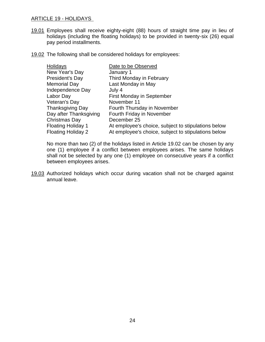#### ARTICLE 19 - HOLIDAYS

- 19.01 Employees shall receive eighty-eight (88) hours of straight time pay in lieu of holidays (including the floating holidays) to be provided in twenty-six (26) equal pay period installments.
- 19.02 The following shall be considered holidays for employees:

| Holidays                  | Date to be Observed                                 |
|---------------------------|-----------------------------------------------------|
| New Year's Day            | January 1                                           |
| President's Day           | Third Monday in February                            |
| <b>Memorial Day</b>       | Last Monday in May                                  |
| Independence Day          | July 4                                              |
| Labor Day                 | <b>First Monday in September</b>                    |
| Veteran's Day             | November 11                                         |
| <b>Thanksgiving Day</b>   | Fourth Thursday in November                         |
| Day after Thanksgiving    | Fourth Friday in November                           |
| Christmas Day             | December 25                                         |
| <b>Floating Holiday 1</b> | At employee's choice, subject to stipulations below |
| <b>Floating Holiday 2</b> | At employee's choice, subject to stipulations below |

No more than two (2) of the holidays listed in Article 19.02 can be chosen by any one (1) employee if a conflict between employees arises. The same holidays shall not be selected by any one (1) employee on consecutive years if a conflict between employees arises.

19.03 Authorized holidays which occur during vacation shall not be charged against annual leave.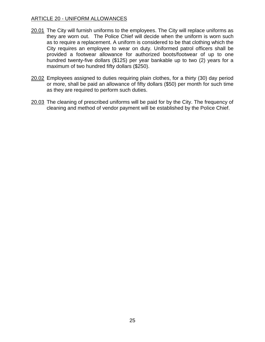### ARTICLE 20 - UNIFORM ALLOWANCES

- 20.01 The City will furnish uniforms to the employees. The City will replace uniforms as they are worn out. The Police Chief will decide when the uniform is worn such as to require a replacement. A uniform is considered to be that clothing which the City requires an employee to wear on duty. Uniformed patrol officers shall be provided a footwear allowance for authorized boots/footwear of up to one hundred twenty-five dollars (\$125) per year bankable up to two (2) years for a maximum of two hundred fifty dollars (\$250).
- 20.02 Employees assigned to duties requiring plain clothes, for a thirty (30) day period or more, shall be paid an allowance of fifty dollars (\$50) per month for such time as they are required to perform such duties.
- 20.03 The cleaning of prescribed uniforms will be paid for by the City. The frequency of cleaning and method of vendor payment will be established by the Police Chief.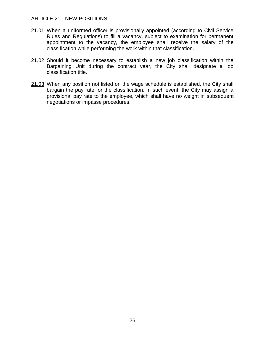#### ARTICLE 21 - NEW POSITIONS

- 21.01 When a uniformed officer is provisionally appointed (according to Civil Service Rules and Regulations) to fill a vacancy, subject to examination for permanent appointment to the vacancy, the employee shall receive the salary of the classification while performing the work within that classification.
- 21.02 Should it become necessary to establish a new job classification within the Bargaining Unit during the contract year, the City shall designate a job classification title.
- 21.03 When any position not listed on the wage schedule is established, the City shall bargain the pay rate for the classification. In such event, the City may assign a provisional pay rate to the employee, which shall have no weight in subsequent negotiations or impasse procedures.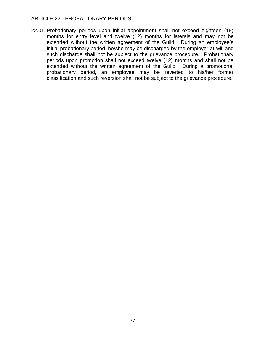## ARTICLE 22 - PROBATIONARY PERIODS

22.01 Probationary periods upon initial appointment shall not exceed eighteen (18) months for entry level and twelve (12) months for laterals and may not be extended without the written agreement of the Guild. During an employee's initial probationary period, he/she may be discharged by the employer at-will and such discharge shall not be subject to the grievance procedure. Probationary periods upon promotion shall not exceed twelve (12) months and shall not be extended without the written agreement of the Guild. During a promotional probationary period, an employee may be reverted to his/her former classification and such reversion shall not be subject to the grievance procedure.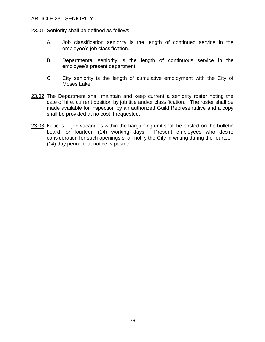#### ARTICLE 23 - SENIORITY

23.01 Seniority shall be defined as follows:

- A. Job classification seniority is the length of continued service in the employee's job classification.
- B. Departmental seniority is the length of continuous service in the employee's present department.
- C. City seniority is the length of cumulative employment with the City of Moses Lake.
- 23.02 The Department shall maintain and keep current a seniority roster noting the date of hire, current position by job title and/or classification. The roster shall be made available for inspection by an authorized Guild Representative and a copy shall be provided at no cost if requested.
- 23.03 Notices of job vacancies within the bargaining unit shall be posted on the bulletin board for fourteen (14) working days. Present employees who desire consideration for such openings shall notify the City in writing during the fourteen (14) day period that notice is posted.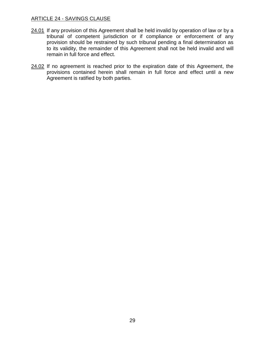#### ARTICLE 24 - SAVINGS CLAUSE

- 24.01 If any provision of this Agreement shall be held invalid by operation of law or by a tribunal of competent jurisdiction or if compliance or enforcement of any provision should be restrained by such tribunal pending a final determination as to its validity, the remainder of this Agreement shall not be held invalid and will remain in full force and effect.
- 24.02 If no agreement is reached prior to the expiration date of this Agreement, the provisions contained herein shall remain in full force and effect until a new Agreement is ratified by both parties.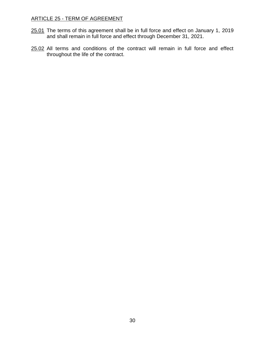## ARTICLE 25 - TERM OF AGREEMENT

- 25.01 The terms of this agreement shall be in full force and effect on January 1, 2019 and shall remain in full force and effect through December 31, 2021.
- 25.02 All terms and conditions of the contract will remain in full force and effect throughout the life of the contract.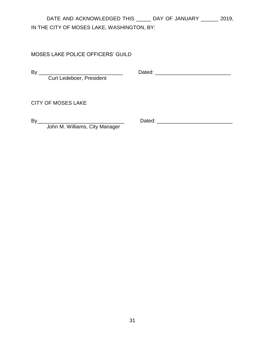## DATE AND ACKNOWLEDGED THIS \_\_\_\_\_ DAY OF JANUARY \_\_\_\_\_\_ 2019, IN THE CITY OF MOSES LAKE, WASHINGTON, BY:

## MOSES LAKE POLICE OFFICERS' GUILD

Curt Ledeboer, President

By \_\_\_\_\_\_\_\_\_\_\_\_\_\_\_\_\_\_\_\_\_\_\_\_\_\_\_\_\_\_\_\_\_\_ Dated: \_\_\_\_\_\_\_\_\_\_\_\_\_\_\_\_\_\_\_\_\_\_\_\_\_\_\_\_\_\_\_\_\_

CITY OF MOSES LAKE

John M. Williams, City Manager

By\_\_\_\_\_\_\_\_\_\_\_\_\_\_\_\_\_\_\_\_\_\_\_\_\_\_\_\_\_\_ Dated: \_\_\_\_\_\_\_\_\_\_\_\_\_\_\_\_\_\_\_\_\_\_\_\_\_\_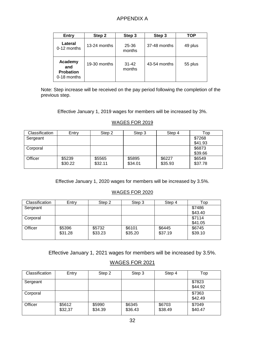## APPENDIX A

| Entry                                             | Step 2         | Step 3              | Step 3       | TOP     |
|---------------------------------------------------|----------------|---------------------|--------------|---------|
| Lateral<br>0-12 months                            | $13-24$ months | 25-36<br>months     | 37-48 months | 49 plus |
| Academy<br>and<br><b>Probation</b><br>0-18 months | 19-30 months   | $31 - 42$<br>months | 43-54 months | 55 plus |

Note: Step increase will be received on the pay period following the completion of the previous step.

Effective January 1, 2019 wages for members will be increased by 3%.

| <b>Classification</b> | Entry   | Step 2  | Step 3  | Step 4  | Top     |
|-----------------------|---------|---------|---------|---------|---------|
| Sergeant              |         |         |         |         | \$7268  |
|                       |         |         |         |         | \$41.93 |
| Corporal              |         |         |         |         | \$6873  |
|                       |         |         |         |         | \$39.66 |
| Officer               | \$5239  | \$5565  | \$5895  | \$6227  | \$6549  |
|                       | \$30.22 | \$32.11 | \$34.01 | \$35.93 | \$37.78 |

#### WAGES FOR 2019

Effective January 1, 2020 wages for members will be increased by 3.5%.

#### WAGES FOR 2020

| Classification | Entry   | Step 2  | Step 3  | Step 4  | Top     |
|----------------|---------|---------|---------|---------|---------|
| Sergeant       |         |         |         |         | \$7486  |
|                |         |         |         |         | \$43.40 |
| Corporal       |         |         |         |         | \$7114  |
|                |         |         |         |         | \$41.05 |
| Officer        | \$5396  | \$5732  | \$6101  | \$6445  | \$6745  |
|                | \$31.28 | \$33.23 | \$35.20 | \$37.19 | \$39.10 |
|                |         |         |         |         |         |

Effective January 1, 2021 wages for members will be increased by 3.5%.

## WAGES FOR 2021

| Classification | Entry             | Step 2            | Step 3            | Step 4            | Top               |
|----------------|-------------------|-------------------|-------------------|-------------------|-------------------|
| Sergeant       |                   |                   |                   |                   | \$7823<br>\$44.92 |
| Corporal       |                   |                   |                   |                   | \$7363<br>\$42.49 |
| Officer        | \$5612<br>\$32,37 | \$5990<br>\$34.39 | \$6345<br>\$36.43 | \$6703<br>\$38.49 | \$7049<br>\$40.47 |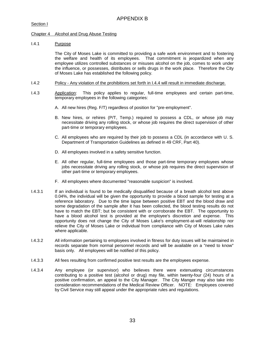Section I

#### Chapter 4 Alcohol and Drug Abuse Testing

#### I.4.1 Purpose

The City of Moses Lake is committed to providing a safe work environment and to fostering the welfare and health of its employees. That commitment is jeopardized when any employee utilizes controlled substances or misuses alcohol on the job, comes to work under the influence, or possesses, distributes or sells drugs in the work place. Therefore the City of Moses Lake has established the following policy.

- I.4.2 Policy Any violation of the prohibitions set forth in I.4.4 will result in immediate discharge.
- I.4.3 Application: This policy applies to regular, full-time employees and certain part-time, temporary employees in the following categories:
	- A. All new hires (Reg. F/T) regardless of position for "pre-employment".
	- B. New hires, or rehires (P/T, Temp.) required to possess a CDL, or whose job may necessitate driving any rolling stock, or whose job requires the direct supervision of other part-time or temporary employees.
	- C. All employees who are required by their job to possess a CDL (in accordance with U. S. Department of Transportation Guidelines as defined in 49 CRF, Part 40).
	- D. All employees involved in a safety sensitive function.
	- E. All other regular, full-time employees and those part-time temporary employees whose jobs necessitate driving any rolling stock, or whose job requires the direct supervision of other part-time or temporary employees.
	- F. All employees where documented "reasonable suspicion" is involved.
- I.4.3.1 If an individual is found to be medically disqualified because of a breath alcohol test above 0.04%, the individual will be given the opportunity to provide a blood sample for testing at a reference laboratory. Due to the time lapse between positive EBT and the blood draw and some degradation of the sample after it has been collected, the blood testing results do not have to match the EBT; but be consistent with or corroborate the EBT. The opportunity to have a blood alcohol test is provided at the employee's discretion and expense. This opportunity does not change the City of Moses Lake's employment-at-will relationship nor relieve the City of Moses Lake or individual from compliance with City of Moses Lake rules where applicable.
- I.4.3.2 All information pertaining to employees involved in fitness for duty issues will be maintained in records separate from normal personnel records and will be available on a "need to know" basis only. All employees will be notified of this policy.
- I.4.3.3 All fees resulting from confirmed positive test results are the employees expense.
- I.4.3.4 Any employee (or supervisor) who believes there were extenuating circumstances contributing to a positive test (alcohol or drug) may file, within twenty-four (24) hours of a positive confirmation, an appeal to the City Manager. The City Manger may also take into consideration recommendations of the Medical Review Officer. NOTE: Employees covered by Civil Service may still appeal under the appropriate rules and regulations.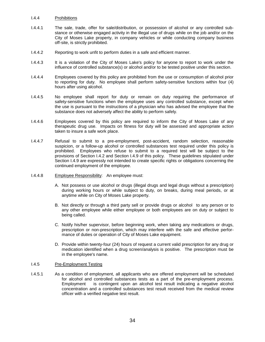#### I.4.4 Prohibitions

- I.4.4.1 The sale, trade, offer for sale/distribution, or possession of alcohol or any controlled substance or otherwise engaged activity in the illegal use of drugs while on the job and/or on the City of Moses Lake property, in company vehicles or while conducting company business off-site, is strictly prohibited.
- I.4.4.2 Reporting to work unfit to perform duties in a safe and efficient manner.
- I.4.4.3 It is a violation of the City of Moses Lake's policy for anyone to report to work under the influence of controlled substance(s) or alcohol and/or to be tested positive under this section.
- I.4.4.4 Employees covered by this policy are prohibited from the use or consumption of alcohol prior to reporting for duty. No employee shall perform safety-sensitive functions within four (4) hours after using alcohol.
- I.4.4.5 No employee shall report for duty or remain on duty requiring the performance of safety-sensitive functions when the employee uses any controlled substance, except when the use is pursuant to the instructions of a physician who has advised the employee that the substance does not adversely affect the ability to perform safely.
- I.4.4.6 Employees covered by this policy are required to inform the City of Moses Lake of any therapeutic drug use. Impacts on fitness for duty will be assessed and appropriate action taken to insure a safe work place.
- I.4.4.7 Refusal to submit to a pre-employment, post-accident, random selection, reasonable suspicion, or a follow-up alcohol or controlled substances test required under this policy is prohibited. Employees who refuse to submit to a required test will be subject to the provisions of Section I.4.2 and Section I.4.9 of this policy. These guidelines stipulated under Section I.4.9 are expressly not intended to create specific rights or obligations concerning the continued employment of the employee.
- I.4.4.8 Employee Responsibility: An employee must:
	- A. Not possess or use alcohol or drugs (illegal drugs and legal drugs without a prescription) during working hours or while subject to duty, on breaks, during meal periods, or at anytime while on City of Moses Lake property.
	- B. Not directly or through a third party sell or provide drugs or alcohol to any person or to any other employee while either employee or both employees are on duty or subject to being called.
	- C. Notify his/her supervisor, before beginning work, when taking any medications or drugs, prescription or non-prescription, which may interfere with the safe and effective performance of duties or operation of City of Moses Lake equipment.
	- D. Provide within twenty-four (24) hours of request a current valid prescription for any drug or medication identified when a drug screen/analysis is positive. The prescription must be in the employee's name.

#### I.4.5 Pre-Employment Testing

I.4.5.1 As a condition of employment, all applicants who are offered employment will be scheduled for alcohol and controlled substances tests as a part of the pre-employment process. Employment is contingent upon an alcohol test result indicating a negative alcohol concentration and a controlled substances test result received from the medical review officer with a verified negative test result.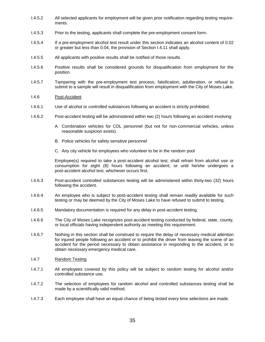- I.4.5.2 All selected applicants for employment will be given prior notification regarding testing requirements.
- I.4.5.3 Prior to the testing, applicants shall complete the pre-employment consent form.
- I.4.5.4 If a pre-employment alcohol test result under this section indicates an alcohol content of 0.02 or greater but less than 0.04, the provision of Section I.4.11 shall apply.
- I.4.5.5 All applicants with positive results shall be notified of those results.
- I.4.5.6 Positive results shall be considered grounds for disqualification from employment for the position.
- I.4.5.7 Tampering with the pre-employment test process, falsification, adulteration, or refusal to submit to a sample will result in disqualification from employment with the City of Moses Lake.
- I.4.6 Post-Accident
- I.4.6.1 Use of alcohol or controlled substances following an accident is strictly prohibited.
- I.4.6.2 Post-accident testing will be administered within two (2) hours following an accident involving:
	- A. Combination vehicles for CDL personnel (but not for non-commercial vehicles, unless reasonable suspicion exists)
	- B. Police vehicles for safety sensitive personnel
	- C. Any city vehicle for employees who volunteer to be in the random pool

Employee(s) required to take a post-accident alcohol test, shall refrain from alcohol use or consumption for eight (8) hours following an accident, or until he/she undergoes a post-accident alcohol test, whichever occurs first.

- I.4.6.3 Post-accident controlled substances testing will be administered within thirty-two (32) hours following the accident.
- I.4.6.4 An employee who is subject to post-accident testing shall remain readily available for such testing or may be deemed by the City of Moses Lake to have refused to submit to testing.
- I.4.6.5 Mandatory documentation is required for any delay in post-accident testing.
- I.4.6.6 The City of Moses Lake recognizes post-accident testing conducted by federal, state, county, or local officials having independent authority as meeting this requirement.
- I.4.6.7 Nothing in this section shall be construed to require the delay of necessary medical attention for injured people following an accident or to prohibit the driver from leaving the scene of an accident for the period necessary to obtain assistance in responding to the accident, or to obtain necessary emergency medical care.
- I.4.7 Random Testing
- I.4.7.1 All employees covered by this policy will be subject to random testing for alcohol and/or controlled substance use.
- I.4.7.2 The selection of employees for random alcohol and controlled substances testing shall be made by a scientifically valid method.
- I.4.7.3 Each employee shall have an equal chance of being tested every time selections are made.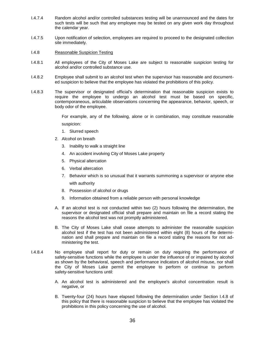- I.4.7.4 Random alcohol and/or controlled substances testing will be unannounced and the dates for such tests will be such that any employee may be tested on any given work day throughout the calendar year.
- I.4.7.5 Upon notification of selection, employees are required to proceed to the designated collection site immediately.
- I.4.8 Reasonable Suspicion Testing
- I.4.8.1 All employees of the City of Moses Lake are subject to reasonable suspicion testing for alcohol and/or controlled substance use.
- I.4.8.2 Employee shall submit to an alcohol test when the supervisor has reasonable and documented suspicion to believe that the employee has violated the prohibitions of this policy.
- I.4.8.3 The supervisor or designated official's determination that reasonable suspicion exists to require the employee to undergo an alcohol test must be based on specific, contemporaneous, articulable observations concerning the appearance, behavior, speech, or body odor of the employee.

For example, any of the following, alone or in combination, may constitute reasonable suspicion:

- 1. Slurred speech
- 2. Alcohol on breath
	- 3. Inability to walk a straight line
	- 4. An accident involving City of Moses Lake property
	- 5. Physical altercation
	- 6. Verbal altercation
	- 7. Behavior which is so unusual that it warrants summoning a supervisor or anyone else with authority
	- 8. Possession of alcohol or drugs
	- 9. Information obtained from a reliable person with personal knowledge
- A. If an alcohol test is not conducted within two (2) hours following the determination, the supervisor or designated official shall prepare and maintain on file a record stating the reasons the alcohol test was not promptly administered.
- B. The City of Moses Lake shall cease attempts to administer the reasonable suspicion alcohol test if the test has not been administered within eight (8) hours of the determination and shall prepare and maintain on file a record stating the reasons for not administering the test.
- I.4.8.4 No employee shall report for duty or remain on duty requiring the performance of safety-sensitive functions while the employee is under the influence of or impaired by alcohol as shown by the behavioral, speech and performance indicators of alcohol misuse, nor shall the City of Moses Lake permit the employee to perform or continue to perform safety-sensitive functions until:
	- A. An alcohol test is administered and the employee's alcohol concentration result is negative, or
	- B. Twenty-four (24) hours have elapsed following the determination under Section I.4.8 of this policy that there is reasonable suspicion to believe that the employee has violated the prohibitions in this policy concerning the use of alcohol.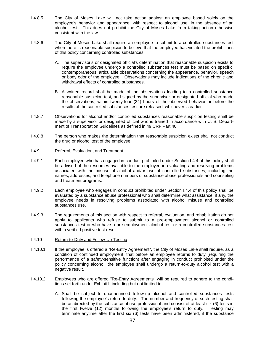- I.4.8.5 The City of Moses Lake will not take action against an employee based solely on the employee's behavior and appearance, with respect to alcohol use, in the absence of an alcohol test. This does not prohibit the City of Moses Lake from taking action otherwise consistent with the law.
- I.4.8.6 The City of Moses Lake shall require an employee to submit to a controlled substances test when there is reasonable suspicion to believe that the employee has violated the prohibitions of this policy concerning controlled substances.
	- A. The supervisor's or designated official's determination that reasonable suspicion exists to require the employee undergo a controlled substances test must be based on specific, contemporaneous, articulable observations concerning the appearance, behavior, speech or body odor of the employee. Observations may include indications of the chronic and withdrawal effects of controlled substances.
	- B. A written record shall be made of the observations leading to a controlled substance reasonable suspicion test, and signed by the supervisor or designated official who made the observations, within twenty-four (24) hours of the observed behavior or before the results of the controlled substances test are released, whichever is earlier.
- I.4.8.7 Observations for alcohol and/or controlled substances reasonable suspicion testing shall be made by a supervisor or designated official who is trained in accordance with U. S. Department of Transportation Guidelines as defined in 49 CRF Part 40.
- I.4.8.8 The person who makes the determination that reasonable suspicion exists shall not conduct the drug or alcohol test of the employee.
- I.4.9 Referral, Evaluation, and Treatment
- I.4.9.1 Each employee who has engaged in conduct prohibited under Section I.4.4 of this policy shall be advised of the resources available to the employee in evaluating and resolving problems associated with the misuse of alcohol and/or use of controlled substances, including the names, addresses, and telephone numbers of substance abuse professionals and counseling and treatment programs.
- I.4.9.2 Each employee who engages in conduct prohibited under Section I.4.4 of this policy shall be evaluated by a substance abuse professional who shall determine what assistance, if any, the employee needs in resolving problems associated with alcohol misuse and controlled substances use.
- I.4.9.3 The requirements of this section with respect to referral, evaluation, and rehabilitation do not apply to applicants who refuse to submit to a pre-employment alcohol or controlled substances test or who have a pre-employment alcohol test or a controlled substances test with a verified positive test result.
- I.4.10 Return-to-Duty and Follow-Up Testing
- I.4.10.1 If the employee is offered a "Re-Entry Agreement", the City of Moses Lake shall require, as a condition of continued employment, that before an employee returns to duty (requiring the performance of a safety-sensitive function) after engaging in conduct prohibited under the policy concerning alcohol, the employee shall undergo a return-to-duty alcohol test with a negative result.
- I.4.10.2 Employees who are offered "Re-Entry Agreements" will be required to adhere to the conditions set forth under Exhibit I, including but not limited to:
	- A. Shall be subject to unannounced follow-up alcohol and controlled substances tests following the employee's return to duty. The number and frequency of such testing shall be as directed by the substance abuse professional and consist of at least six (6) tests in the first twelve (12) months following the employee's return to duty. Testing may terminate anytime after the first six (6) tests have been administered, if the substance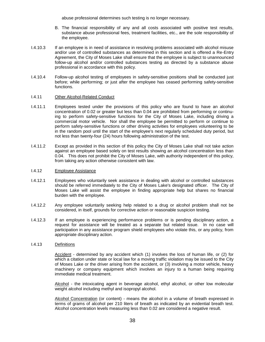abuse professional determines such testing is no longer necessary.

- B. The financial responsibility of any and all costs associated with positive test results, substance abuse professional fees, treatment facilities, etc., are the sole responsibility of the employee.
- I.4.10.3 If an employee is in need of assistance in resolving problems associated with alcohol misuse and/or use of controlled substances as determined in this section and is offered a Re-Entry Agreement, the City of Moses Lake shall ensure that the employee is subject to unannounced follow-up alcohol and/or controlled substances testing as directed by a substance abuse professional in accordance with this policy.
- I.4.10.4 Follow-up alcohol testing of employees in safety-sensitive positions shall be conducted just before; while performing; or just after the employee has ceased performing safety-sensitive functions.

#### I.4.11 Other Alcohol-Related Conduct

- I.4.11.1 Employees tested under the provisions of this policy who are found to have an alcohol concentration of 0.02 or greater but less than 0.04 are prohibited from performing or continuing to perform safety-sensitive functions for the City of Moses Lake, including driving a commercial motor vehicle. Nor shall the employee be permitted to perform or continue to perform safety-sensitive functions or other driving activities for employees volunteering to be in the random pool until the start of the employee's next regularly scheduled duty period, but not less than twenty-four (24) hours following administration of the test.
- I.4.11.2 Except as provided in this section of this policy the City of Moses Lake shall not take action against an employee based solely on test results showing an alcohol concentration less than 0.04. This does not prohibit the City of Moses Lake, with authority independent of this policy, from taking any action otherwise consistent with law.

#### I.4.12 Employee Assistance

- I.4.12.1 Employees who voluntarily seek assistance in dealing with alcohol or controlled substances should be referred immediately to the City of Moses Lake's designated officer. The City of Moses Lake will assist the employee in finding appropriate help but shares no financial burden with the employee.
- I.4.12.2 Any employee voluntarily seeking help related to a drug or alcohol problem shall not be considered, in itself, grounds for corrective action or reasonable suspicion testing.
- I.4.12.3 If an employee is experiencing performance problems or is pending disciplinary action, a request for assistance will be treated as a separate but related issue. In no case will participation in any assistance program shield employees who violate this, or any policy, from appropriate disciplinary action.

#### I.4.13 Definitions

Accident - determined by any accident which (1) involves the loss of human life, or (2) for which a citation under state or local law for a moving traffic violation may be issued to the City of Moses Lake or the driver arising from the accident, or (3) involving a motor vehicle, heavy machinery or company equipment which involves an injury to a human being requiring immediate medical treatment.

Alcohol - the intoxicating agent in beverage alcohol, ethyl alcohol, or other low molecular weight alcohol including methyl and isopropyl alcohol.

Alcohol Concentration (or content) - means the alcohol in a volume of breath expressed in terms of grams of alcohol per 210 liters of breath as indicated by an evidential breath test. Alcohol concentration levels measuring less than 0.02 are considered a negative result.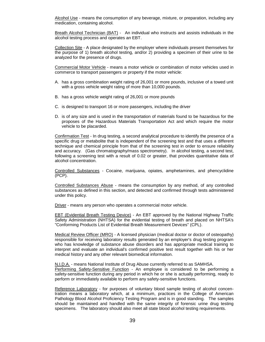Alcohol Use - means the consumption of any beverage, mixture, or preparation, including any medication, containing alcohol.

Breath Alcohol Technician (BAT) - An individual who instructs and assists individuals in the alcohol testing process and operates an EBT.

Collection Site - A place designated by the employer where individuals present themselves for the purpose of 1) breath alcohol testing, and/or 2) providing a specimen of their urine to be analyzed for the presence of drugs.

Commercial Motor Vehicle - means a motor vehicle or combination of motor vehicles used in commerce to transport passengers or property if the motor vehicle:

- A. has a gross combination weight rating of 26,001 or more pounds, inclusive of a towed unit with a gross vehicle weight rating of more than 10,000 pounds.
- B. has a gross vehicle weight rating of 26,001 or more pounds
- C. is designed to transport 16 or more passengers, including the driver
- D. is of any size and is used in the transportation of materials found to be hazardous for the proposes of the Hazardous Materials Transportation Act and which require the motor vehicle to be placarded.

Confirmation Test - In drug testing, a second analytical procedure to identify the presence of a specific drug or metabolite that is independent of the screening test and that uses a different technique and chemical principle from that of the screening test in order to ensure reliability and accuracy. (Gas chromatography/mass spectrometry). In alcohol testing, a second test, following a screening test with a result of 0.02 or greater, that provides quantitative data of alcohol concentration.

Controlled Substances - Cocaine, marijuana, opiates, amphetamines, and phencyclidine (PCP).

Controlled Substances Abuse - means the consumption by any method, of any controlled substances as defined in this section, and detected and confirmed through tests administered under this policy.

Driver - means any person who operates a commercial motor vehicle.

EBT (Evidential Breath Testing Device) - An EBT approved by the National Highway Traffic Safety Administration (NHTSA) for the evidential testing of breath and placed on NHTSA's "Conforming Products List of Evidential Breath Measurement Devices" (CPL).

Medical Review Officer (MRO) - A licensed physician (medical doctor or doctor of osteopathy) responsible for receiving laboratory results generated by an employer's drug testing program who has knowledge of substance abuse disorders and has appropriate medical training to interpret and evaluate an individual's confirmed positive test result together with his or her medical history and any other relevant biomedical information.

N.I.D.A. - means National Institute of Drug Abuse currently referred to as SAMHSA.

Performing Safety-Sensitive Function - An employee is considered to be performing a safety-sensitive function during any period in which he or she is actually performing, ready to perform or immediately available to perform any safety-sensitive functions.

Reference Laboratory - for purposes of voluntary blood sample testing of alcohol concentration means a laboratory which, at a minimum, practices in the College of American Pathology Blood Alcohol Proficiency Testing Program and is in good standing. The samples should be maintained and handled with the same integrity of forensic urine drug testing specimens. The laboratory should also meet all state blood alcohol testing requirements.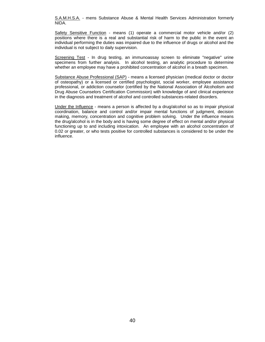S.A.M.H.S.A. - mens Substance Abuse & Mental Health Services Administration formerly NIDA.

Safety Sensitive Function - means (1) operate a commercial motor vehicle and/or (2) positions where there is a real and substantial risk of harm to the public in the event an individual performing the duties was impaired due to the influence of drugs or alcohol and the individual is not subject to daily supervision.

Screening Test - In drug testing, an immunoassay screen to eliminate "negative" urine specimens from further analysis. In alcohol testing, an analytic procedure to determine whether an employee may have a prohibited concentration of alcohol in a breath specimen.

Substance Abuse Professional (SAP) - means a licensed physician (medical doctor or doctor of osteopathy) or a licensed or certified psychologist, social worker, employee assistance professional, or addiction counselor (certified by the National Association of Alcoholism and Drug Abuse Counselors Certification Commission) with knowledge of and clinical experience in the diagnosis and treatment of alcohol and controlled substances-related disorders.

Under the Influence - means a person is affected by a drug/alcohol so as to impair physical coordination, balance and control and/or impair mental functions of judgment, decision making, memory, concentration and cognitive problem solving. Under the influence means the drug/alcohol is in the body and is having some degree of effect on mental and/or physical functioning up to and including intoxication. An employee with an alcohol concentration of 0.02 or greater, or who tests positive for controlled substances is considered to be under the influence.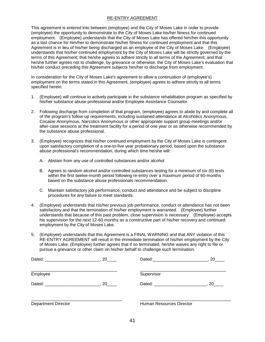#### RE-ENTRY AGREEMENT

This agreement is entered into between (employee) and the City of Moses Lake in order to provide (employee) the opportunity to demonstrate to the City of Moses Lake his/her fitness for continued employment. (Employee) understands that the City of Moses Lake has offered him/her this opportunity as a last chance for him/her to demonstrate his/her fitness for continued employment and that this Agreement is in lieu of his/her being discharged as an employee of the City of Moses Lake. (Employee) understands that his/her continued employment by the City of Moses Lake will be strictly governed by the terms of this Agreement; that he/she agrees to adhere strictly to all terms of the Agreement; and that he/she further agrees not to challenge, by grievance or otherwise, the City of Moses Lake's evaluation that his/her conduct preceding this Agreement subjects him/her to discharge from employment.

In consideration for the City of Moses Lake's agreement to allow a continuation of (employee's) employment on the terms stated in this Agreement, (employee) agrees to adhere strictly to all terms specified herein.

- 1. (Employee) will continue to actively participate in the substance rehabilitation program as specified by his/her substance abuse professional and/or Employee Assistance Counselor.
- 2. Following discharge from completion of that program, (employee) agrees to abide by and complete all of the program's follow-up requirements, including sustained attendance at Alcoholics Anonymous, Cocaine Anonymous, Narcotics Anonymous or other appropriate support group meetings and/or after-case sessions at the treatment facility for a period of one year or as otherwise recommended by the substance abuse professional.
- 3. (Employee) recognizes that his/her continued employment by the City of Moses Lake is contingent upon satisfactory completion of a one-to-five year probationary period, based upon the substance abuse professional's recommendation, during which time he/she will:
	- A. Abstain from any use of controlled substances and/or alcohol
	- B. Agrees to random alcohol and/or controlled substances testing for a minimum of six (6) tests within the first twelve-month period following re-entry over a maximum period of 60-months based on the substance abuse professionals recommendation.
	- C. Maintain satisfactory job performance, conduct and attendance and be subject to discipline procedures for any failure to meet standards.
- 4. (Employee) understands that his/her previous job performance, conduct or attendance has not been satisfactory and that the termination of his/her employment is warranted. (Employee) further understands that because of this past problem, close supervision is necessary. (Employee) accepts his supervision for the next 12-60 months as a constructive part of his/her recovery and continued employment by the City of Moses Lake.
- 5. (Employee) understands that this Agreement is a FINAL WARNING and that ANY violation of this RE-ENTRY AGREEMENT will result in the immediate termination of his/her employment by the City of Moses Lake. (Employee) further agrees that if so terminated, he/she waives any right to file or pursue a grievance or other claim on his/her behalf to challenge such termination.

|                            |                          | .20 |
|----------------------------|--------------------------|-----|
| Employee                   | Supervisor               |     |
| Dated: 20                  | Dated: 20                |     |
| <b>Department Director</b> | Human Resources Director |     |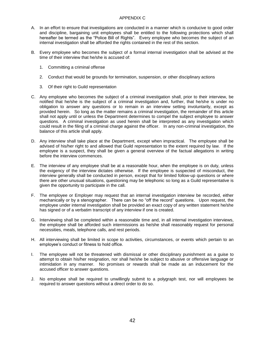#### APPENDIX C

- A. In an effort to ensure that investigations are conducted in a manner which is conducive to good order and discipline, bargaining unit employees shall be entitled to the following protections which shall hereafter be termed as the "Police Bill of Rights". Every employee who becomes the subject of an internal investigation shall be afforded the rights contained in the rest of this section.
- B. Every employee who becomes the subject of a formal internal investigation shall be advised at the time of their interview that he/she is accused of:
	- 1. Committing a criminal offense
	- 2. Conduct that would be grounds for termination, suspension, or other disciplinary actions
	- 3. Of their right to Guild representation
- C. Any employee who becomes the subject of a criminal investigation shall, prior to their interview, be notified that he/she is the subject of a criminal investigation and, further, that he/she is under no obligation to answer any questions or to remain in an interview setting involuntarily, except as provided herein. So long as the matter remains a criminal investigation, the remainder of this article shall not apply until or unless the Department determines to compel the subject employee to answer questions. A criminal investigation as used herein shall be interpreted as any investigation which could result in the filing of a criminal charge against the officer. In any non-criminal investigation, the balance of this article shall apply.
- D. Any interview shall take place at the Department, except when impractical. The employee shall be advised of his/her right to and allowed that Guild representation to the extent required by law. If the employee is a suspect, they shall be given a general overview of the factual allegations in writing before the interview commences.
- E. The interview of any employee shall be at a reasonable hour, when the employee is on duty, unless the exigency of the interview dictates otherwise. If the employee is suspected of misconduct, the interview generally shall be conducted in person, except that for limited follow-up questions or where there are other unusual situations, questioning may be telephonic so long as a Guild representative is given the opportunity to participate in the call.
- F. The employee or Employer may request that an internal investigation interview be recorded, either mechanically or by a stenographer. There can be no "off the record" questions. Upon request, the employee under internal investigation shall be provided an exact copy of any written statement he/she has signed or of a verbatim transcript of any interview if one is created.
- G. Interviewing shall be completed within a reasonable time and, in all internal investigation interviews, the employee shall be afforded such intermissions as he/she shall reasonably request for personal necessities, meals, telephone calls, and rest periods.
- H. All interviewing shall be limited in scope to activities, circumstances, or events which pertain to an employee's conduct or fitness to hold office.
- I. The employee will not be threatened with dismissal or other disciplinary punishment as a guise to attempt to obtain his/her resignation, nor shall he/she be subject to abusive or offensive language or intimidation in any manner. No promises or rewards shall be made as an inducement for the accused officer to answer questions.
- J. No employee shall be required to unwillingly submit to a polygraph test, nor will employees be required to answer questions without a direct order to do so.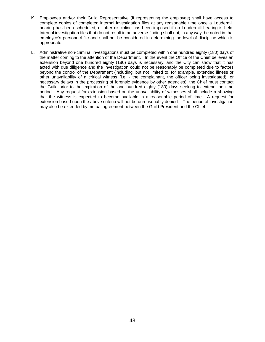- K. Employees and/or their Guild Representative (if representing the employee) shall have access to complete copies of completed internal investigation files at any reasonable time once a Loudermill hearing has been scheduled, or after discipline has been imposed if no Loudermill hearing is held. Internal investigation files that do not result in an adverse finding shall not, in any way, be noted in that employee's personnel file and shall not be considered in determining the level of discipline which is appropriate.
- L. Administrative non-criminal investigations must be completed within one hundred eighty (180) days of the matter coming to the attention of the Department. In the event the Office of the Chief believes an extension beyond one hundred eighty (180) days is necessary, and the City can show that it has acted with due diligence and the investigation could not be reasonably be completed due to factors beyond the control of the Department (including, but not limited to, for example, extended illness or other unavailability of a critical witness (i.e. - the complainant, the officer being investigated), or necessary delays in the processing of forensic evidence by other agencies), the Chief must contact the Guild prior to the expiration of the one hundred eighty (180) days seeking to extend the time period. Any request for extension based on the unavailability of witnesses shall include a showing that the witness is expected to become available in a reasonable period of time. A request for extension based upon the above criteria will not be unreasonably denied. The period of investigation may also be extended by mutual agreement between the Guild President and the Chief.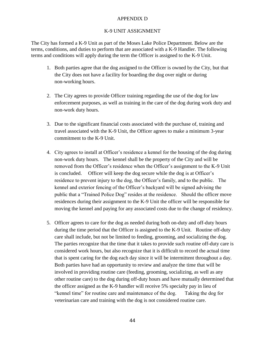#### APPENDIX D

#### K-9 UNIT ASSIGNMENT

The City has formed a K-9 Unit as part of the Moses Lake Police Department. Below are the terms, conditions, and duties to perform that are associated with a K-9 Handler. The following terms and conditions will apply during the term the Officer is assigned to the K-9 Unit.

- 1. Both parties agree that the dog assigned to the Officer is owned by the City, but that the City does not have a facility for boarding the dog over night or during non-working hours.
- 2. The City agrees to provide Officer training regarding the use of the dog for law enforcement purposes, as well as training in the care of the dog during work duty and non-work duty hours.
- 3. Due to the significant financial costs associated with the purchase of, training and travel associated with the K-9 Unit, the Officer agrees to make a minimum 3-year commitment to the K-9 Unit.
- 4. City agrees to install at Officer's residence a kennel for the housing of the dog during non-work duty hours. The kennel shall be the property of the City and will be removed from the Officer's residence when the Officer's assignment to the K-9 Unit is concluded. Officer will keep the dog secure while the dog is at Officer's residence to prevent injury to the dog, the Officer's family, and to the public. The kennel and exterior fencing of the Officer's backyard will be signed advising the public that a "Trained Police Dog" resides at the residence. Should the officer move residences during their assignment to the K-9 Unit the officer will be responsible for moving the kennel and paying for any associated costs due to the change of residency.
- 5. Officer agrees to care for the dog as needed during both on-duty and off-duty hours during the time period that the Officer is assigned to the K-9 Unit. Routine off-duty care shall include, but not be limited to feeding, grooming, and socializing the dog. The parties recognize that the time that it takes to provide such routine off-duty care is considered work hours, but also recognize that it is difficult to record the actual time that is spent caring for the dog each day since it will be intermittent throughout a day. Both parties have had an opportunity to review and analyze the time that will be involved in providing routine care (feeding, grooming, socializing, as well as any other routine care) to the dog during off-duty hours and have mutually determined that the officer assigned as the K-9 handler will receive 5% specialty pay in lieu of "kennel time" for routine care and maintenance of the dog. Taking the dog for veterinarian care and training with the dog is not considered routine care.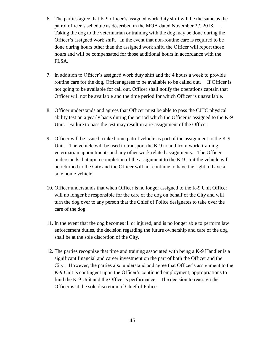- 6. The parties agree that K-9 officer's assigned work duty shift will be the same as the patrol officer's schedule as described in the MOA dated November 27, 2018. . Taking the dog to the veterinarian or training with the dog may be done during the Officer's assigned work shift. In the event that non-routine care is required to be done during hours other than the assigned work shift, the Officer will report those hours and will be compensated for those additional hours in accordance with the FLSA.
- 7. In addition to Officer's assigned work duty shift and the 4 hours a week to provide routine care for the dog, Officer agrees to be available to be called out. If Officer is not going to be available for call out, Officer shall notify the operations captain that Officer will not be available and the time period for which Officer is unavailable.
- 8. Officer understands and agrees that Officer must be able to pass the CJTC physical ability test on a yearly basis during the period which the Officer is assigned to the K-9 Unit. Failure to pass the test may result in a re-assignment of the Officer.
- 9. Officer will be issued a take home patrol vehicle as part of the assignment to the K-9 Unit. The vehicle will be used to transport the K-9 to and from work, training, veterinarian appointments and any other work related assignments. The Officer understands that upon completion of the assignment to the K-9 Unit the vehicle will be returned to the City and the Officer will not continue to have the right to have a take home vehicle.
- 10. Officer understands that when Officer is no longer assigned to the K-9 Unit Officer will no longer be responsible for the care of the dog on behalf of the City and will turn the dog over to any person that the Chief of Police designates to take over the care of the dog.
- 11. In the event that the dog becomes ill or injured, and is no longer able to perform law enforcement duties, the decision regarding the future ownership and care of the dog shall be at the sole discretion of the City.
- 12. The parties recognize that time and training associated with being a K-9 Handler is a significant financial and career investment on the part of both the Officer and the City. However, the parties also understand and agree that Officer's assignment to the K-9 Unit is contingent upon the Officer's continued employment, appropriations to fund the K-9 Unit and the Officer's performance. The decision to reassign the Officer is at the sole discretion of Chief of Police.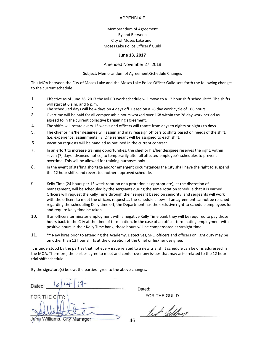#### APPENDIX E

#### Memorandum of Agreement By and Between City of Moses Lake and Moses Lake Police Officers' Guild

#### **June 13, 2017**

Amended November 27, 2018

Subject: Memorandum of Agreement/Schedule Changes

This MOA between the City of Moses Lake and the Moses Lake Police Officer Guild sets forth the following changes to the current schedule:

- 1. Effective as of June 26, 2017 the Ml-PD work schedule will move to a 12 hour shift schedule\*\*. The shifts will start at 6 a.m. and 6 p.m.
- 2. The scheduled days will be 4 days on 4 days off. Based on a 28 day work cycle of 168 hours.
- 3. Overtime will be paid for all compensable hours worked over 168 within the 28 day work period as agreed to in the current collective bargaining agreement.
- 4. The shifts will rotate every 13 weeks and officers will rotate from days to nights or nights to days.
- 5. The chief or his/her designee will assign and may reassign officers to shifts based on needs of the shift, (i.e. experience, assignments) • One sergeant will be assigned to each shift.
- 6. Vacation requests will be handled as outlined in the current contract.
- 7. In an effort to increase training opportunities, the chief or his/her designee reserves the right, within seven (7) days advanced notice, to temporarily alter all affected employee's schedules to prevent overtime. This will be allowed for training purposes only.
- 8. In the event of staffing shortage and/or emergent circumstances the City shall have the right to suspend the 12 hour shifts and revert to another approved schedule.
- 9. Kelly Time (24 hours per 13 week rotation or a proration as appropriate), at the discretion of management, will be scheduled by the sergeants during the same rotation schedule that it is earned. Officers will request the Kelly Time through their sergeant based on seniority, and sergeants will work with the officers to meet the officers request as the schedule allows. If an agreement cannot be reached regarding the scheduling Kelly time off, the Department has the exclusive right to schedule employees for and require Kelly time be taken.
- 10. If an officers terminates employment with a negative Kelly Time bank they will be required to pay those hours back to the City at the time of termination. In the case of an officer terminating employment with positive hours in their Kelly Time bank, those hours will be compensated at straight time.
- 11. \*\* New hires prior to attending the Academy, Detectives, SRO officers and officers on light duty may be on other than 12 hour shifts at the discretion of the Chief or his/her designee.

It is understood by the parties that not every issue related to a new trial shift schedule can be or is addressed in the MOA. Therefore, the parties agree to meet and confer over any issues that may arise related to the 12 hour trial shift schedule.

By the signature(s) below, the parties agree to the above changes.

| 14 17<br>Dated:             |  |
|-----------------------------|--|
| FOR THE CITY:               |  |
| Jøhn Williams, City Manager |  |

Dated:

FOR THE GUILD:

but lettery

46